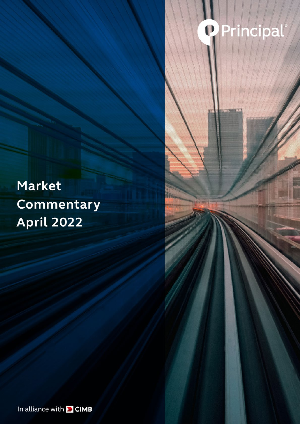## **Q** Princ  $\ddot{\bullet}$

Market Commentary **April 2022** 

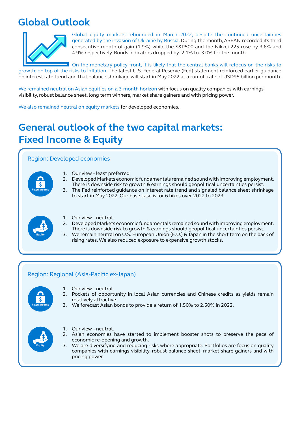## **Global Outlook**



Global equity markets rebounded in March 2022, despite the continued uncertainties generated by the invasion of Ukraine by Russia. During the month, ASEAN recorded its third consecutive month of gain (1.9%) while the S&P500 and the Nikkei 225 rose by 3.6% and 4.9% respectively. Bonds indicators dropped by -2.1% to -3.0% for the month.

On the monetary policy front, it is likely that the central banks will refocus on the risks to growth, on top of the risks to inflation. The latest U.S. Federal Reserve (Fed) statement reinforced earlier guidance on interest rate trend and that balance shrinkage will start in May 2022 at a run-off rate of USD95 billion per month.

We remained neutral on Asian equities on a 3-month horizon with focus on quality companies with earnings visibility, robust balance sheet, long term winners, market share gainers and with pricing power.

We also remained neutral on equity markets for developed economies.

## **General outlook of the two capital markets: Fixed Income & Equity**

### Region: Developed economies



- 1. Our view least preferred
- 2. Developed Markets economic fundamentals remained sound with improving employment. There is downside risk to growth & earnings should geopolitical uncertainties persist.
- 3. The Fed reinforced guidance on interest rate trend and signaled balance sheet shrinkage to start in May 2022. Our base case is for 6 hikes over 2022 to 2023.



- 1. Our view neutral.
- 2. Developed Markets economic fundamentals remained sound with improving employment. There is downside risk to growth & earnings should geopolitical uncertainties persist.
- 3. We remain neutral on U.S. European Union (E.U.) & Japan in the short term on the back of rising rates. We also reduced exposure to expensive growth stocks.

### Region: Regional (Asia-Pacific ex-Japan)



- 1. Our view neutral.
- 2. Pockets of opportunity in local Asian currencies and Chinese credits as yields remain relatively attractive.
- 3. We forecast Asian bonds to provide a return of 1.50% to 2.50% in 2022.



- 1. Our view neutral.
- 2. Asian economies have started to implement booster shots to preserve the pace of economic re-opening and growth.
- 3. We are diversifying and reducing risks where appropriate. Portfolios are focus on quality companies with earnings visibility, robust balance sheet, market share gainers and with pricing power.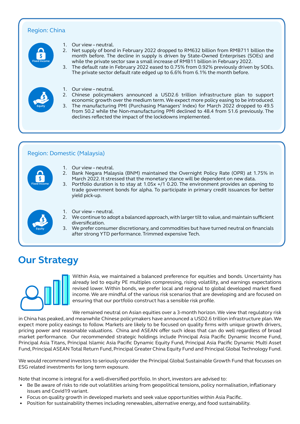### Region: China



- 1. Our view neutral.
- 2. Net supply of bond in February 2022 dropped to RM632 billion from RMB711 billion the month before. The decline in supply is driven by State-Owned Enterprises (SOEs) and while the private sector saw a small increase of RMB11 billion in February 2022.
- 3. The default rate in February 2022 eased to 0.75% from 0.92% previously driven by SOEs. The private sector default rate edged up to 6.6% from 6.1% the month before.
- **Equity**
- 1. Our view neutral.
- 2. Chinese policymakers announced a USD2.6 trillion infrastructure plan to support economic growth over the medium term. We expect more policy easing to be introduced.
- 3. The manufacturing PMI (Purchasing Managers' Index) for March 2022 dropped to 49.5 from 50.2 while the Non-manufacturing PMI declined to 48.4 from 51.6 previously. The declines reflected the impact of the lockdowns implemented.

#### Region: Domestic (Malaysia)



- 1. Our view neutral.
- 2. Bank Negara Malaysia (BNM) maintained the Overnight Policy Rate (OPR) at 1.75% in March 2022. It stressed that the monetary stance will be dependent on new data.
- 3. Portfolio duration is to stay at 1.05x +/1 0.20. The environment provides an opening to trade government bonds for alpha. To participate in primary credit issuances for better yield pick-up.



- 1. Our view neutral.
- 2. We continue to adopt a balanced approach, with larger tilt to value, and maintain sufficient diversification.
- 3. We prefer consumer discretionary, and commodities but have turned neutral on financials after strong YTD performance. Trimmed expensive Tech.

### **Our Strategy**



Within Asia, we maintained a balanced preference for equities and bonds. Uncertainty has already led to equity PE multiples compressing, rising volatility, and earnings expectations revised lower. Within bonds, we prefer local and regional to global developed market fixed income. We are mindful of the various risk scenarios that are developing and are focused on ensuring that our portfolio construct has a sensible risk profile.

We remained neutral on Asian equities over a 3-month horizon. We view that requlatory risk in China has peaked, and meanwhile Chinese policymakers have announced a USD2.6 trillion infrastructure plan. We expect more policy easings to follow. Markets are likely to be focused on quality firms with unique growth drivers, pricing power and reasonable valuations. China and ASEAN offer such ideas that can do well regardless of broad market performance. Our recommended strategic holdings include Principal Asia Pacific Dynamic Income Fund, Principal Asia Titans, Principal Islamic Asia Pacific Dynamic Equity Fund, Principal Asia Pacific Dynamic Multi Asset Fund, Principal ASEAN Total Return Fund, Principal Greater China Equity Fund and Principal Global Technology Fund.

We would recommend investors to seriously consider the Principal Global Sustainable Growth Fund that focusses on ESG related investments for long term exposure.

Note that income is integral for a well-diversified portfolio. In short, investors are advised to:

- Be Be aware of risks to ride out volatilities arising from geopolitical tensions, policy normalisation, inflationary issues and Covid19 variant.
- Focus on quality growth in developed markets and seek value opportunities within Asia Pacific.
- Position for sustainability themes including renewables, alternative energy, and food sustainability.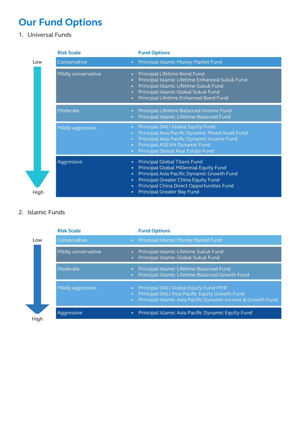# **Our Fund Options**

1. Universal Funds

|      | <b>Risk Scale</b>                                                           | <b>Fund Options</b>                                                                                                                                                                                                                                         |
|------|-----------------------------------------------------------------------------|-------------------------------------------------------------------------------------------------------------------------------------------------------------------------------------------------------------------------------------------------------------|
| Low  | Conservative<br>$\bullet$                                                   | Principal Islamic Money Market Fund                                                                                                                                                                                                                         |
|      | Mildly conservative<br>$\bullet$                                            | Principal Lifetime Bond Fund<br>Principal Islamic Lifetime Enhanced Sukuk Fund<br>Principal Islamic Lifetime Sukuk Fund<br>$\bullet$<br>Principal Islamic Global Sukuk Fund<br>Principal Lifetime Enhanced Bond Fund<br>$\bullet$                           |
|      | Moderate<br>$\bullet$                                                       | Principal Lifetime Balanced Income Fund<br>Principal Islamic Lifetime Balanced Fund                                                                                                                                                                         |
|      | Mildly aggressive                                                           | Principal DALI Global Equity Fund<br>$\bullet$<br>Principal Asia Pacific Dynamic Mixed Asset Fund<br>$\bullet$<br>Principal Asia Pacific Dynamic Income Fund<br>$\bullet$<br>Principal ASEAN Dynamic Fund<br>$\bullet$<br>Principal Global Real Estate Fund |
| High | Aggressive<br>$\bullet$<br>$\bullet$<br>$\bullet$<br>$\bullet$<br>$\bullet$ | <b>Principal Global Titans Fund</b><br>Principal Global Millennial Equity Fund<br>Principal Asia Pacific Dynamic Growth Fund<br>Principal Greater China Equity Fund<br>Principal China Direct Opportunities Fund<br><b>Principal Greater Bay Fund</b>       |

### 2. Islamic Funds

| Principal Islamic Asia Pacific Dynamic Income & Growth Fund |
|-------------------------------------------------------------|
|                                                             |
|                                                             |